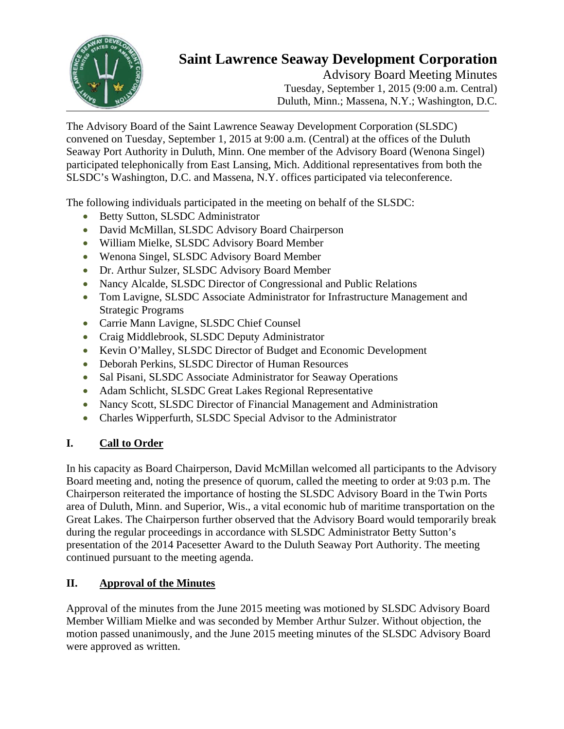

# **Saint Lawrence Seaway Development Corporation**

Advisory Board Meeting Minutes Tuesday, September 1, 2015 (9:00 a.m. Central) Duluth, Minn.; Massena, N.Y.; Washington, D.C.

The Advisory Board of the Saint Lawrence Seaway Development Corporation (SLSDC) convened on Tuesday, September 1, 2015 at 9:00 a.m. (Central) at the offices of the Duluth Seaway Port Authority in Duluth, Minn. One member of the Advisory Board (Wenona Singel) participated telephonically from East Lansing, Mich. Additional representatives from both the SLSDC's Washington, D.C. and Massena, N.Y. offices participated via teleconference.

The following individuals participated in the meeting on behalf of the SLSDC:

- Betty Sutton, SLSDC Administrator
- David McMillan, SLSDC Advisory Board Chairperson
- William Mielke, SLSDC Advisory Board Member
- Wenona Singel, SLSDC Advisory Board Member
- Dr. Arthur Sulzer, SLSDC Advisory Board Member
- Nancy Alcalde, SLSDC Director of Congressional and Public Relations
- Tom Lavigne, SLSDC Associate Administrator for Infrastructure Management and Strategic Programs
- Carrie Mann Lavigne, SLSDC Chief Counsel
- Craig Middlebrook, SLSDC Deputy Administrator
- Kevin O'Malley, SLSDC Director of Budget and Economic Development
- Deborah Perkins, SLSDC Director of Human Resources
- Sal Pisani, SLSDC Associate Administrator for Seaway Operations
- Adam Schlicht, SLSDC Great Lakes Regional Representative
- Nancy Scott, SLSDC Director of Financial Management and Administration
- Charles Wipperfurth, SLSDC Special Advisor to the Administrator

# **I. Call to Order**

In his capacity as Board Chairperson, David McMillan welcomed all participants to the Advisory Board meeting and, noting the presence of quorum, called the meeting to order at 9:03 p.m. The Chairperson reiterated the importance of hosting the SLSDC Advisory Board in the Twin Ports area of Duluth, Minn. and Superior, Wis., a vital economic hub of maritime transportation on the Great Lakes. The Chairperson further observed that the Advisory Board would temporarily break during the regular proceedings in accordance with SLSDC Administrator Betty Sutton's presentation of the 2014 Pacesetter Award to the Duluth Seaway Port Authority. The meeting continued pursuant to the meeting agenda.

## **II. Approval of the Minutes**

Approval of the minutes from the June 2015 meeting was motioned by SLSDC Advisory Board Member William Mielke and was seconded by Member Arthur Sulzer. Without objection, the motion passed unanimously, and the June 2015 meeting minutes of the SLSDC Advisory Board were approved as written.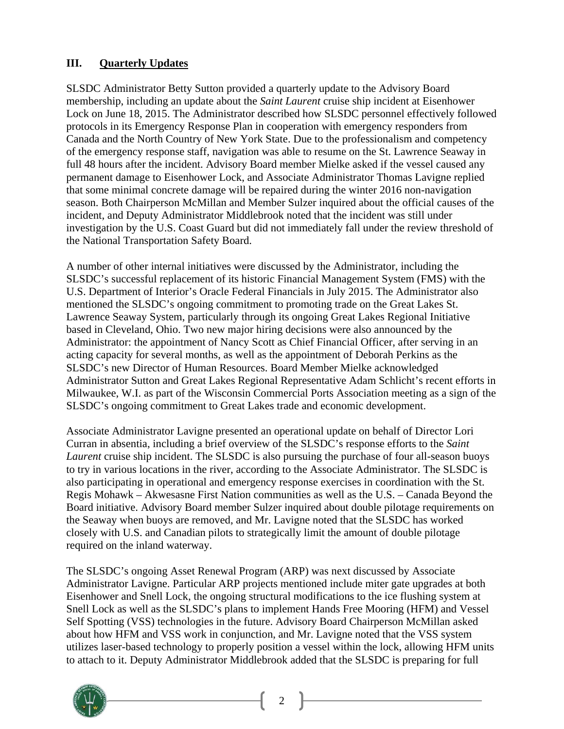### **III. Quarterly Updates**

SLSDC Administrator Betty Sutton provided a quarterly update to the Advisory Board membership, including an update about the *Saint Laurent* cruise ship incident at Eisenhower Lock on June 18, 2015. The Administrator described how SLSDC personnel effectively followed protocols in its Emergency Response Plan in cooperation with emergency responders from Canada and the North Country of New York State. Due to the professionalism and competency of the emergency response staff, navigation was able to resume on the St. Lawrence Seaway in full 48 hours after the incident. Advisory Board member Mielke asked if the vessel caused any permanent damage to Eisenhower Lock, and Associate Administrator Thomas Lavigne replied that some minimal concrete damage will be repaired during the winter 2016 non-navigation season. Both Chairperson McMillan and Member Sulzer inquired about the official causes of the incident, and Deputy Administrator Middlebrook noted that the incident was still under investigation by the U.S. Coast Guard but did not immediately fall under the review threshold of the National Transportation Safety Board.

A number of other internal initiatives were discussed by the Administrator, including the SLSDC's successful replacement of its historic Financial Management System (FMS) with the U.S. Department of Interior's Oracle Federal Financials in July 2015. The Administrator also mentioned the SLSDC's ongoing commitment to promoting trade on the Great Lakes St. Lawrence Seaway System, particularly through its ongoing Great Lakes Regional Initiative based in Cleveland, Ohio. Two new major hiring decisions were also announced by the Administrator: the appointment of Nancy Scott as Chief Financial Officer, after serving in an acting capacity for several months, as well as the appointment of Deborah Perkins as the SLSDC's new Director of Human Resources. Board Member Mielke acknowledged Administrator Sutton and Great Lakes Regional Representative Adam Schlicht's recent efforts in Milwaukee, W.I. as part of the Wisconsin Commercial Ports Association meeting as a sign of the SLSDC's ongoing commitment to Great Lakes trade and economic development.

Associate Administrator Lavigne presented an operational update on behalf of Director Lori Curran in absentia, including a brief overview of the SLSDC's response efforts to the *Saint Laurent* cruise ship incident. The SLSDC is also pursuing the purchase of four all-season buoys to try in various locations in the river, according to the Associate Administrator. The SLSDC is also participating in operational and emergency response exercises in coordination with the St. Regis Mohawk – Akwesasne First Nation communities as well as the U.S. – Canada Beyond the Board initiative. Advisory Board member Sulzer inquired about double pilotage requirements on the Seaway when buoys are removed, and Mr. Lavigne noted that the SLSDC has worked closely with U.S. and Canadian pilots to strategically limit the amount of double pilotage required on the inland waterway.

The SLSDC's ongoing Asset Renewal Program (ARP) was next discussed by Associate Administrator Lavigne. Particular ARP projects mentioned include miter gate upgrades at both Eisenhower and Snell Lock, the ongoing structural modifications to the ice flushing system at Snell Lock as well as the SLSDC's plans to implement Hands Free Mooring (HFM) and Vessel Self Spotting (VSS) technologies in the future. Advisory Board Chairperson McMillan asked about how HFM and VSS work in conjunction, and Mr. Lavigne noted that the VSS system utilizes laser-based technology to properly position a vessel within the lock, allowing HFM units to attach to it. Deputy Administrator Middlebrook added that the SLSDC is preparing for full

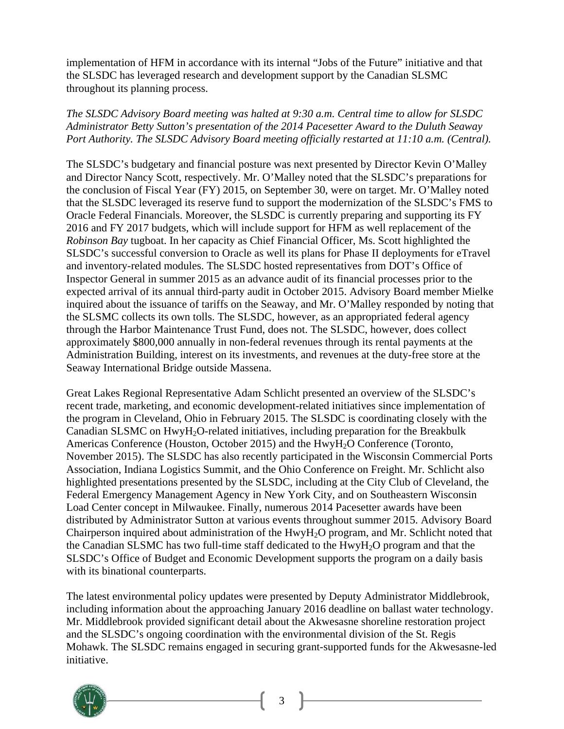implementation of HFM in accordance with its internal "Jobs of the Future" initiative and that the SLSDC has leveraged research and development support by the Canadian SLSMC throughout its planning process.

#### *The SLSDC Advisory Board meeting was halted at 9:30 a.m. Central time to allow for SLSDC Administrator Betty Sutton's presentation of the 2014 Pacesetter Award to the Duluth Seaway Port Authority. The SLSDC Advisory Board meeting officially restarted at 11:10 a.m. (Central).*

The SLSDC's budgetary and financial posture was next presented by Director Kevin O'Malley and Director Nancy Scott, respectively. Mr. O'Malley noted that the SLSDC's preparations for the conclusion of Fiscal Year (FY) 2015, on September 30, were on target. Mr. O'Malley noted that the SLSDC leveraged its reserve fund to support the modernization of the SLSDC's FMS to Oracle Federal Financials. Moreover, the SLSDC is currently preparing and supporting its FY 2016 and FY 2017 budgets, which will include support for HFM as well replacement of the *Robinson Bay* tugboat. In her capacity as Chief Financial Officer, Ms. Scott highlighted the SLSDC's successful conversion to Oracle as well its plans for Phase II deployments for eTravel and inventory-related modules. The SLSDC hosted representatives from DOT's Office of Inspector General in summer 2015 as an advance audit of its financial processes prior to the expected arrival of its annual third-party audit in October 2015. Advisory Board member Mielke inquired about the issuance of tariffs on the Seaway, and Mr. O'Malley responded by noting that the SLSMC collects its own tolls. The SLSDC, however, as an appropriated federal agency through the Harbor Maintenance Trust Fund, does not. The SLSDC, however, does collect approximately \$800,000 annually in non-federal revenues through its rental payments at the Administration Building, interest on its investments, and revenues at the duty-free store at the Seaway International Bridge outside Massena.

Great Lakes Regional Representative Adam Schlicht presented an overview of the SLSDC's recent trade, marketing, and economic development-related initiatives since implementation of the program in Cleveland, Ohio in February 2015. The SLSDC is coordinating closely with the Canadian SLSMC on HwyH<sub>2</sub>O-related initiatives, including preparation for the Breakbulk Americas Conference (Houston, October 2015) and the HwyH2O Conference (Toronto, November 2015). The SLSDC has also recently participated in the Wisconsin Commercial Ports Association, Indiana Logistics Summit, and the Ohio Conference on Freight. Mr. Schlicht also highlighted presentations presented by the SLSDC, including at the City Club of Cleveland, the Federal Emergency Management Agency in New York City, and on Southeastern Wisconsin Load Center concept in Milwaukee. Finally, numerous 2014 Pacesetter awards have been distributed by Administrator Sutton at various events throughout summer 2015. Advisory Board Chairperson inquired about administration of the HwyH2O program, and Mr. Schlicht noted that the Canadian SLSMC has two full-time staff dedicated to the HwyH2O program and that the SLSDC's Office of Budget and Economic Development supports the program on a daily basis with its binational counterparts.

The latest environmental policy updates were presented by Deputy Administrator Middlebrook, including information about the approaching January 2016 deadline on ballast water technology. Mr. Middlebrook provided significant detail about the Akwesasne shoreline restoration project and the SLSDC's ongoing coordination with the environmental division of the St. Regis Mohawk. The SLSDC remains engaged in securing grant-supported funds for the Akwesasne-led initiative.



3